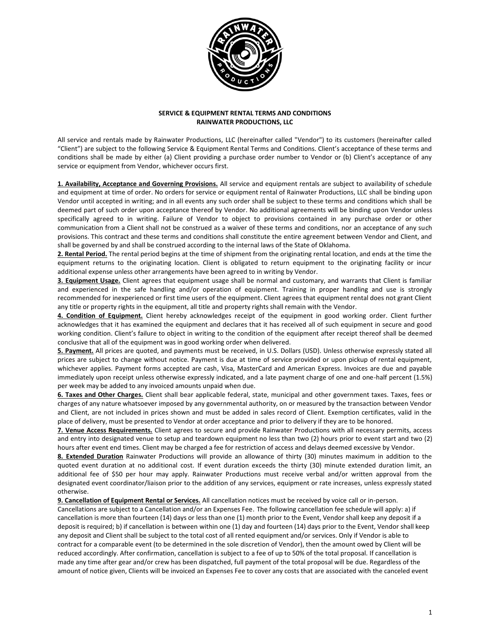

## **SERVICE & EQUIPMENT RENTAL TERMS AND CONDITIONS RAINWATER PRODUCTIONS, LLC**

All service and rentals made by Rainwater Productions, LLC (hereinafter called "Vendor") to its customers (hereinafter called "Client") are subject to the following Service & Equipment Rental Terms and Conditions. Client's acceptance of these terms and conditions shall be made by either (a) Client providing a purchase order number to Vendor or (b) Client's acceptance of any service or equipment from Vendor, whichever occurs first.

**1. Availability, Acceptance and Governing Provisions.** All service and equipment rentals are subject to availability of schedule and equipment at time of order. No orders for service or equipment rental of Rainwater Productions, LLC shall be binding upon Vendor until accepted in writing; and in all events any such order shall be subject to these terms and conditions which shall be deemed part of such order upon acceptance thereof by Vendor. No additional agreements will be binding upon Vendor unless specifically agreed to in writing. Failure of Vendor to object to provisions contained in any purchase order or other communication from a Client shall not be construed as a waiver of these terms and conditions, nor an acceptance of any such provisions. This contract and these terms and conditions shall constitute the entire agreement between Vendor and Client, and shall be governed by and shall be construed according to the internal laws of the State of Oklahoma.

**2. Rental Period.** The rental period begins at the time of shipment from the originating rental location, and ends at the time the equipment returns to the originating location. Client is obligated to return equipment to the originating facility or incur additional expense unless other arrangements have been agreed to in writing by Vendor.

**3. Equipment Usage.** Client agrees that equipment usage shall be normal and customary, and warrants that Client is familiar and experienced in the safe handling and/or operation of equipment. Training in proper handling and use is strongly recommended for inexperienced or first time users of the equipment. Client agrees that equipment rental does not grant Client any title or property rights in the equipment, all title and property rights shall remain with the Vendor.

**4. Condition of Equipment.** Client hereby acknowledges receipt of the equipment in good working order. Client further acknowledges that it has examined the equipment and declares that it has received all of such equipment in secure and good working condition. Client's failure to object in writing to the condition of the equipment after receipt thereof shall be deemed conclusive that all of the equipment was in good working order when delivered.

**5. Payment.** All prices are quoted, and payments must be received, in U.S. Dollars (USD). Unless otherwise expressly stated all prices are subject to change without notice. Payment is due at time of service provided or upon pickup of rental equipment, whichever applies. Payment forms accepted are cash, Visa, MasterCard and American Express. Invoices are due and payable immediately upon receipt unless otherwise expressly indicated, and a late payment charge of one and one-half percent (1.5%) per week may be added to any invoiced amounts unpaid when due.

**6. Taxes and Other Charges.** Client shall bear applicable federal, state, municipal and other government taxes. Taxes, fees or charges of any nature whatsoever imposed by any governmental authority, on or measured by the transaction between Vendor and Client, are not included in prices shown and must be added in sales record of Client. Exemption certificates, valid in the place of delivery, must be presented to Vendor at order acceptance and prior to delivery if they are to be honored.

**7. Venue Access Requirements.** Client agrees to secure and provide Rainwater Productions with all necessary permits, access and entry into designated venue to setup and teardown equipment no less than two (2) hours prior to event start and two (2) hours after event end times. Client may be charged a fee for restriction of access and delays deemed excessive by Vendor.

**8. Extended Duration** Rainwater Productions will provide an allowance of thirty (30) minutes maximum in addition to the quoted event duration at no additional cost. If event duration exceeds the thirty (30) minute extended duration limit, an additional fee of \$50 per hour may apply. Rainwater Productions must receive verbal and/or written approval from the designated event coordinator/liaison prior to the addition of any services, equipment or rate increases, unless expressly stated otherwise.

**9. Cancellation of Equipment Rental or Services.** All cancellation notices must be received by voice call or in-person. Cancellations are subject to a Cancellation and/or an Expenses Fee. The following cancellation fee schedule will apply: a) if cancellation is more than fourteen (14) days or less than one (1) month prior to the Event, Vendor shall keep any deposit if a deposit is required; b) if cancellation is between within one (1) day and fourteen (14) days prior to the Event, Vendor shall keep any deposit and Client shall be subject to the total cost of all rented equipment and/or services. Only if Vendor is able to contract for a comparable event (to be determined in the sole discretion of Vendor), then the amount owed by Client will be reduced accordingly. After confirmation, cancellation is subject to a fee of up to 50% of the total proposal. If cancellation is made any time after gear and/or crew has been dispatched, full payment of the total proposal will be due. Regardless of the amount of notice given, Clients will be invoiced an Expenses Fee to cover any costs that are associated with the canceled event